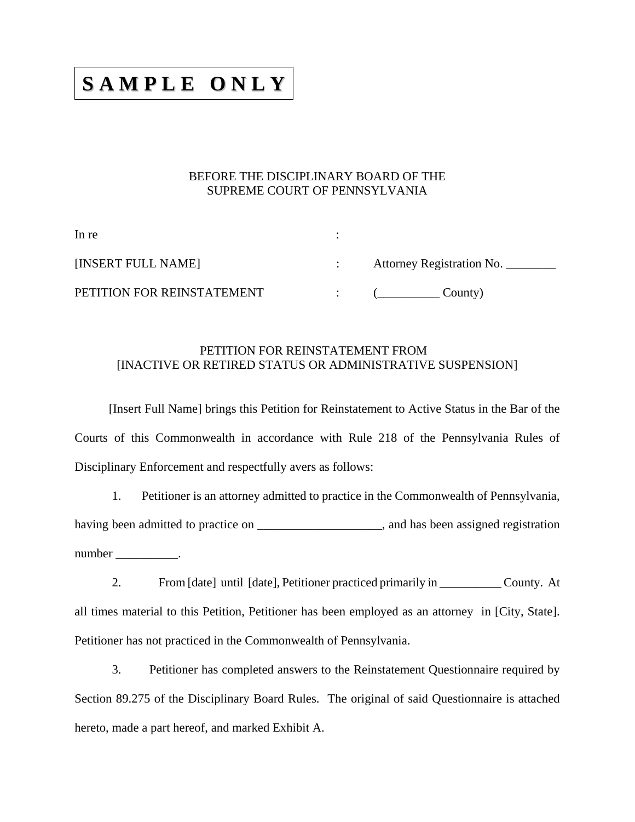## **S A M P L E O N LY**

## BEFORE THE DISCIPLINARY BOARD OF THE SUPREME COURT OF PENNSYLVANIA

| In re                      |                           |
|----------------------------|---------------------------|
| [INSERT FULL NAME]         | Attorney Registration No. |
| PETITION FOR REINSTATEMENT | County)                   |

## PETITION FOR REINSTATEMENT FROM [INACTIVE OR RETIRED STATUS OR ADMINISTRATIVE SUSPENSION]

 [Insert Full Name] brings this Petition for Reinstatement to Active Status in the Bar of the Courts of this Commonwealth in accordance with Rule 218 of the Pennsylvania Rules of Disciplinary Enforcement and respectfully avers as follows:

1. Petitioner is an attorney admitted to practice in the Commonwealth of Pennsylvania, having been admitted to practice on \_\_\_\_\_\_\_\_\_\_\_\_\_\_\_\_\_\_\_\_, and has been assigned registration number \_\_\_\_\_\_\_\_\_\_\_.

2. From [date] until [date], Petitioner practiced primarily in County. At all times material to this Petition, Petitioner has been employed as an attorney in [City, State]. Petitioner has not practiced in the Commonwealth of Pennsylvania.

3. Petitioner has completed answers to the Reinstatement Questionnaire required by Section 89.275 of the Disciplinary Board Rules. The original of said Questionnaire is attached hereto, made a part hereof, and marked Exhibit A.